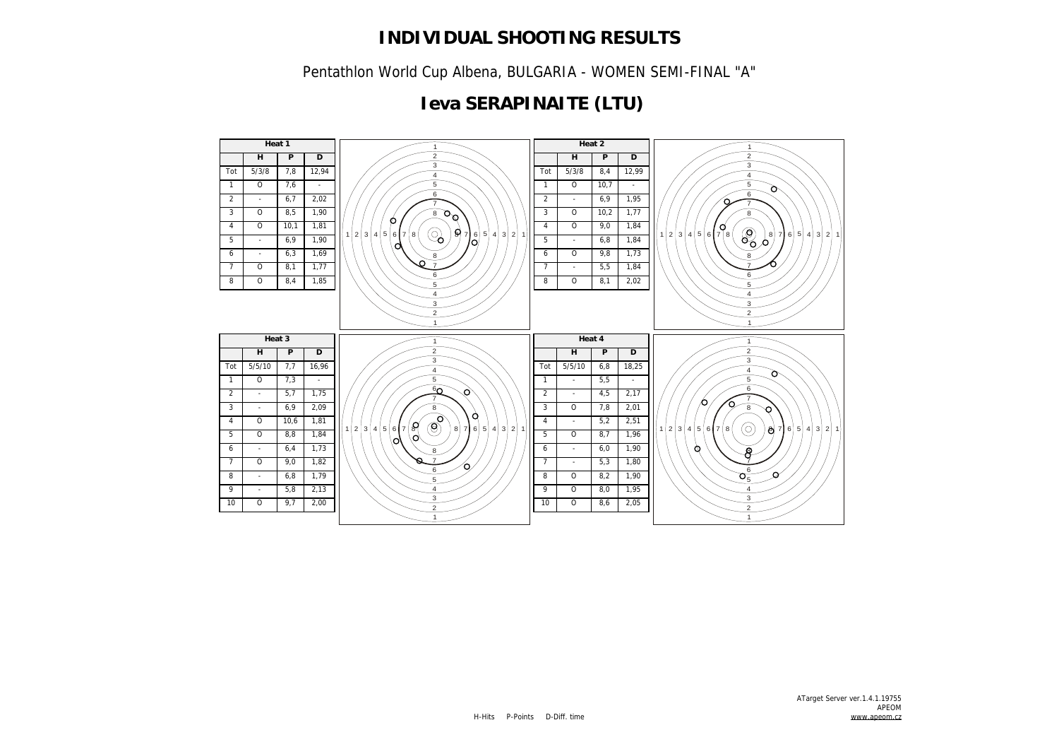Pentathlon World Cup Albena, BULGARIA - WOMEN SEMI-FINAL "A"

## **Ieva SERAPINAITE (LTU)**

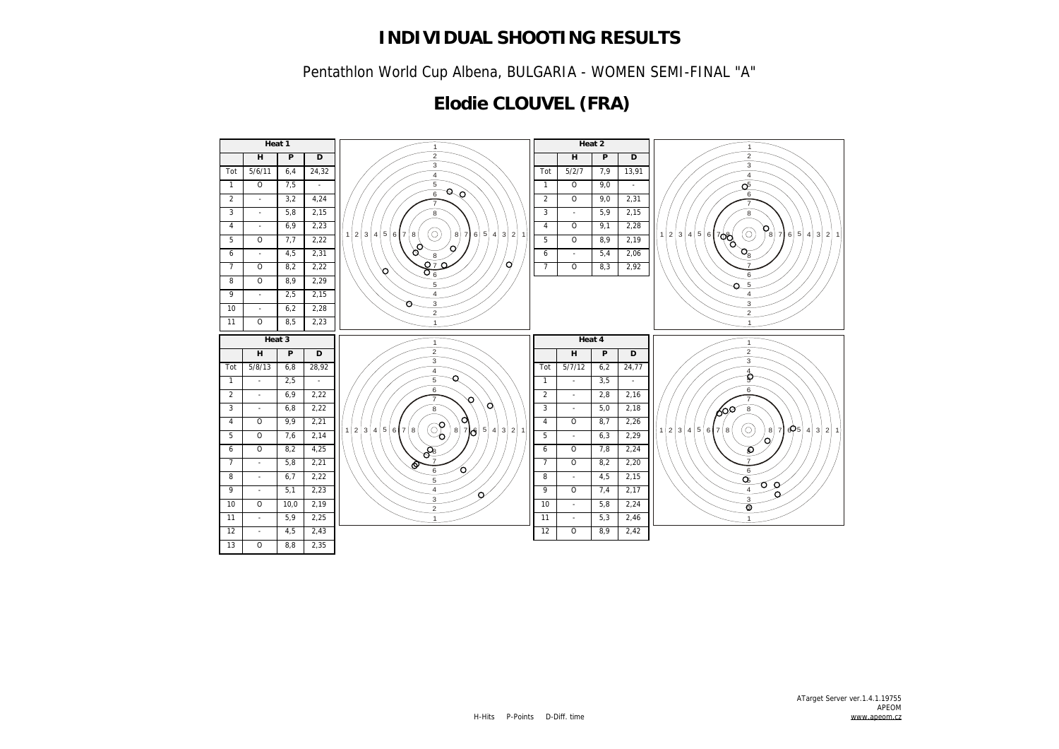Pentathlon World Cup Albena, BULGARIA - WOMEN SEMI-FINAL "A"

## **Elodie CLOUVEL (FRA)**

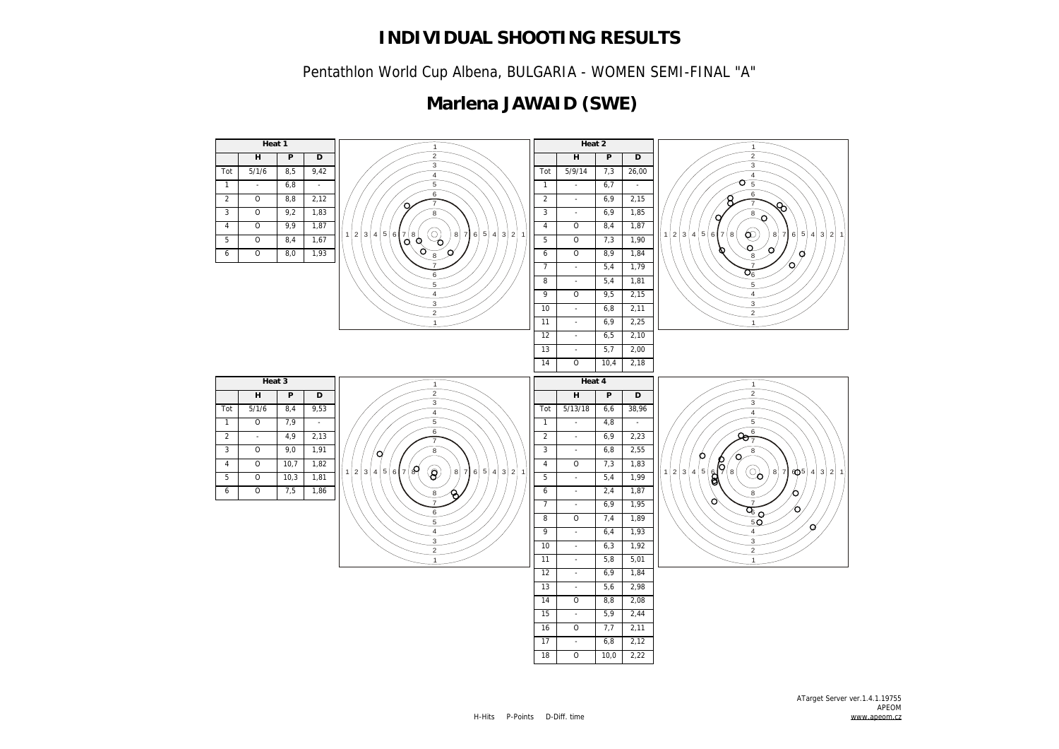Pentathlon World Cup Albena, BULGARIA - WOMEN SEMI-FINAL "A"

## **Marlena JAWAID (SWE)**

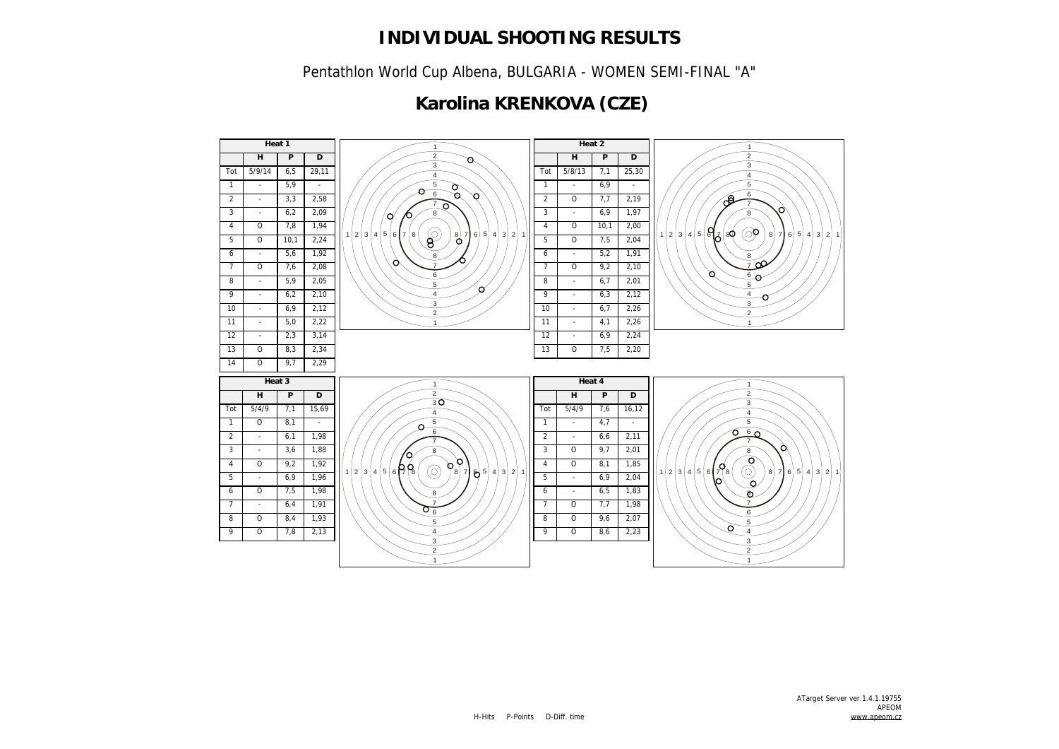Pentathlon World Cup Albena, BULGARIA - WOMEN SEMI-FINAL "A"

## **Karolina KRENKOVA (CZE)**

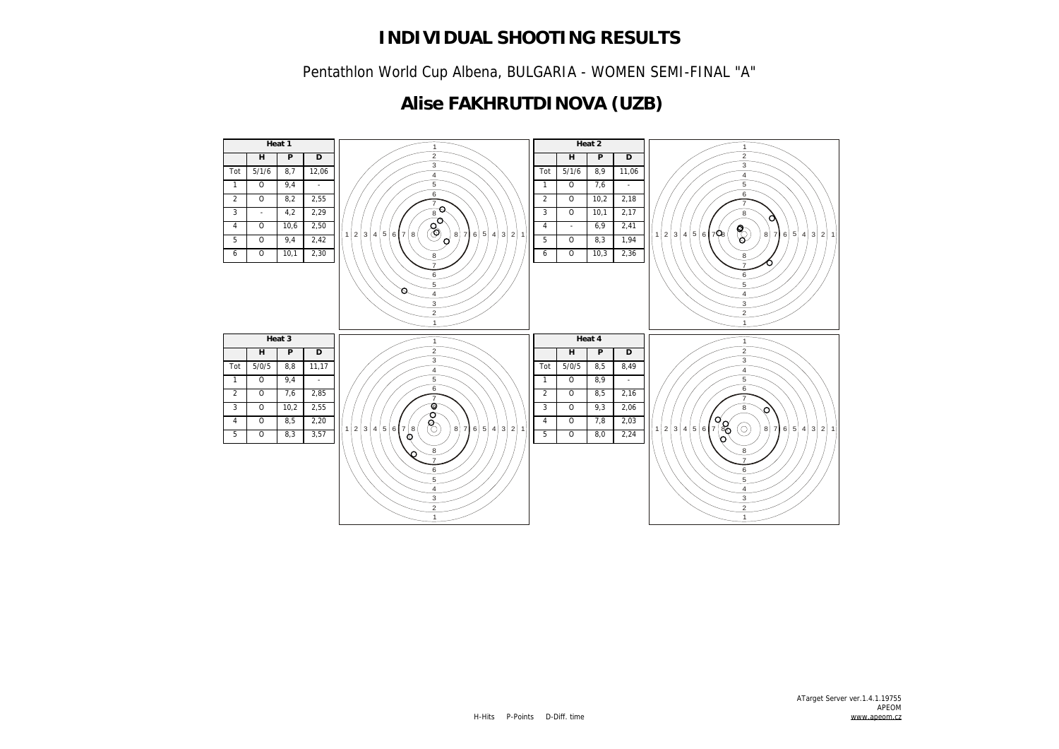Pentathlon World Cup Albena, BULGARIA - WOMEN SEMI-FINAL "A"

## **Alise FAKHRUTDINOVA (UZB)**

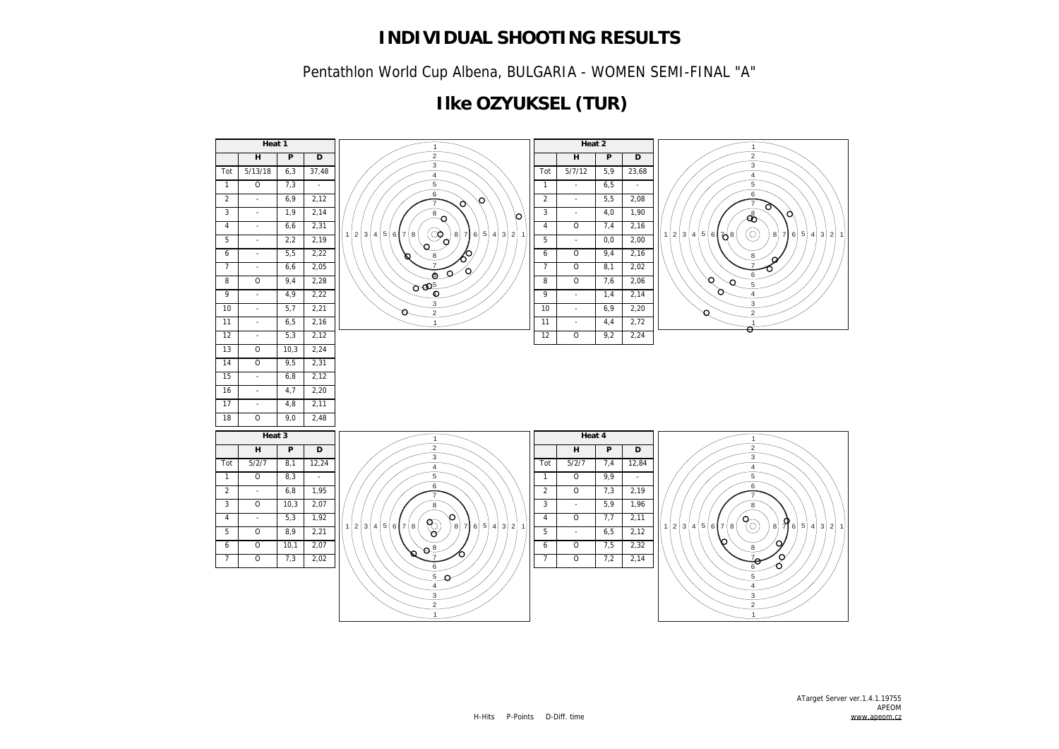Pentathlon World Cup Albena, BULGARIA - WOMEN SEMI-FINAL "A"

## **Ilke OZYUKSEL (TUR)**

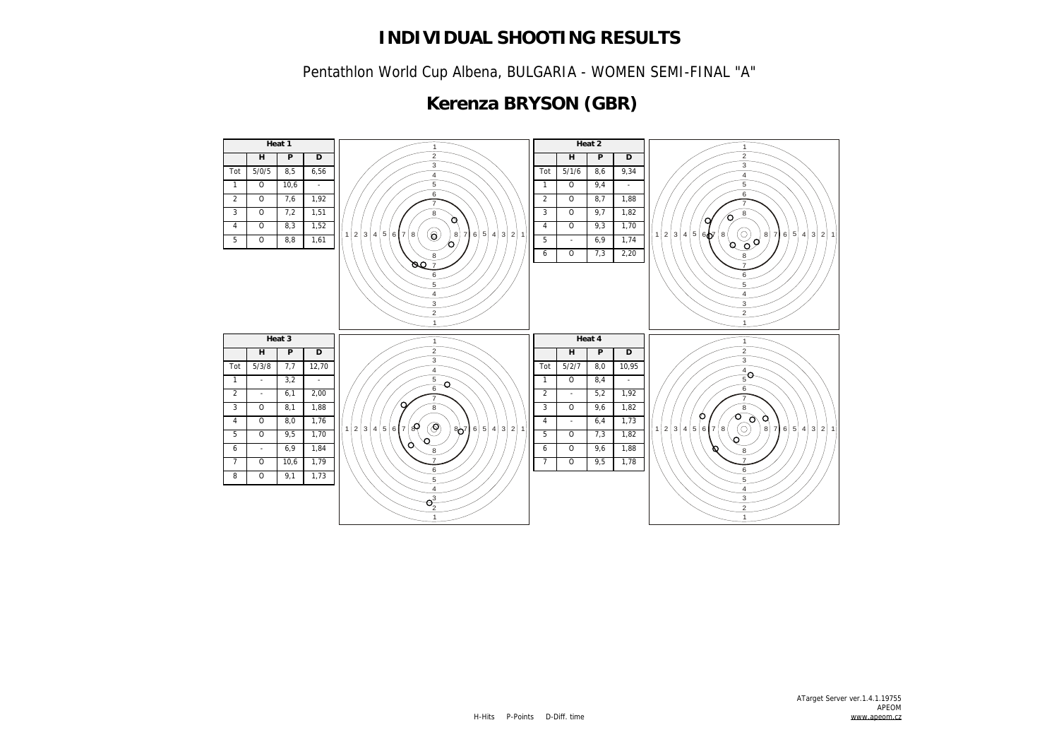Pentathlon World Cup Albena, BULGARIA - WOMEN SEMI-FINAL "A"

## **Kerenza BRYSON (GBR)**

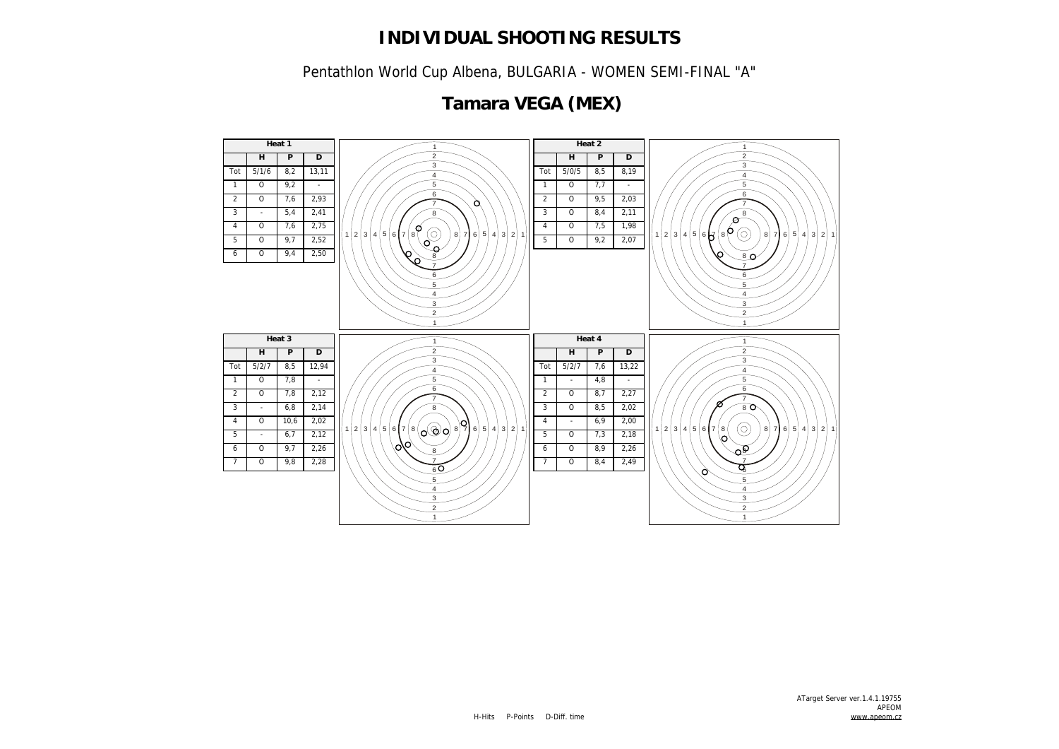Pentathlon World Cup Albena, BULGARIA - WOMEN SEMI-FINAL "A"

#### **Heat 1 Heat 2 H P D H P D** Tot 5/1/6 8,2 13,11 Tot 5/0/5 8,5 8,19  $1 0 9,2 .$   $1 \ 0 \ 7,7 \ .$   $\overline{6}$  $\overline{6}$  O 7,6 2,93 O 9,5 2,03 - 5,4 2,41 O 8,4 2,11  $\alpha$  O 7,6 2,75 O 7,5 1,98 2 3 4 5 6 7 8 (0) 8 7 6 5 4 3 2 1 2 3 4 5 6 7 8  $(0)$  8 7 6 5 4 3 2 1 O 9,2 2,07 O 9,7 2,52 ے O 9,4 2,50  $8<sub>0</sub>$   $\overline{3}$  $\overline{2}$  **Heat 3 Heat 4 H P D**  $\overline{2}$ **H P D** Tot 5/2/7 8,5 12,94 Tot 5/2/7 7,6 13,22 O 7,8 -  $1 \quad - \quad 4,8 \quad -$  O 7,8 2,12 O 8,7 2,27  $3 - 6,8$  2,14 O 8,5 2,02 O 10,6 2,02  $4 + 6,9 + 2,00$ ۱n  $2|3|4|5|6|7|8|_{\Omega}(\odot)|0|8|7|6|5|4|3|2|1$  2 3 4 5 6 7 8 ( 0) 8 7 6 5 4 3 2 1  $5 - 6,7 - 2,12$  O 7,3 2,18  $\phi_{\phi}$  0 9,7 2,26 O 8,9 2,26 O 9,8 2,28 O 8,4 2,49  $\overline{a}$  $\overline{2}$  $\sim$  $\sim$

## **Tamara VEGA (MEX)**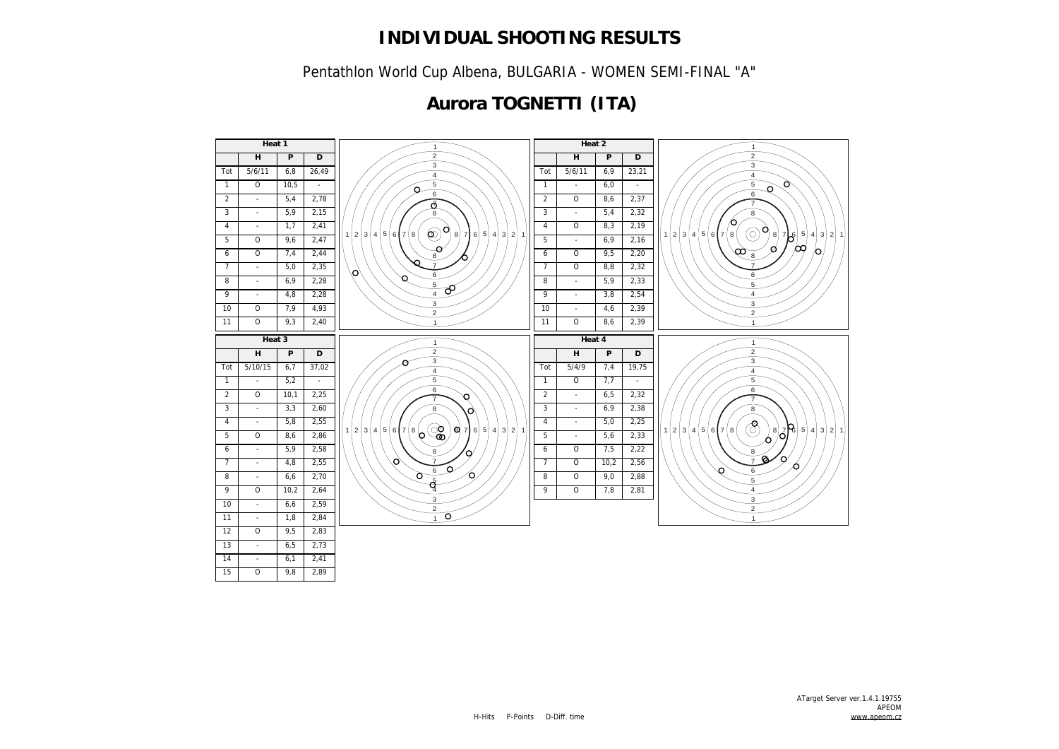Pentathlon World Cup Albena, BULGARIA - WOMEN SEMI-FINAL "A"

## **Aurora TOGNETTI (ITA)**

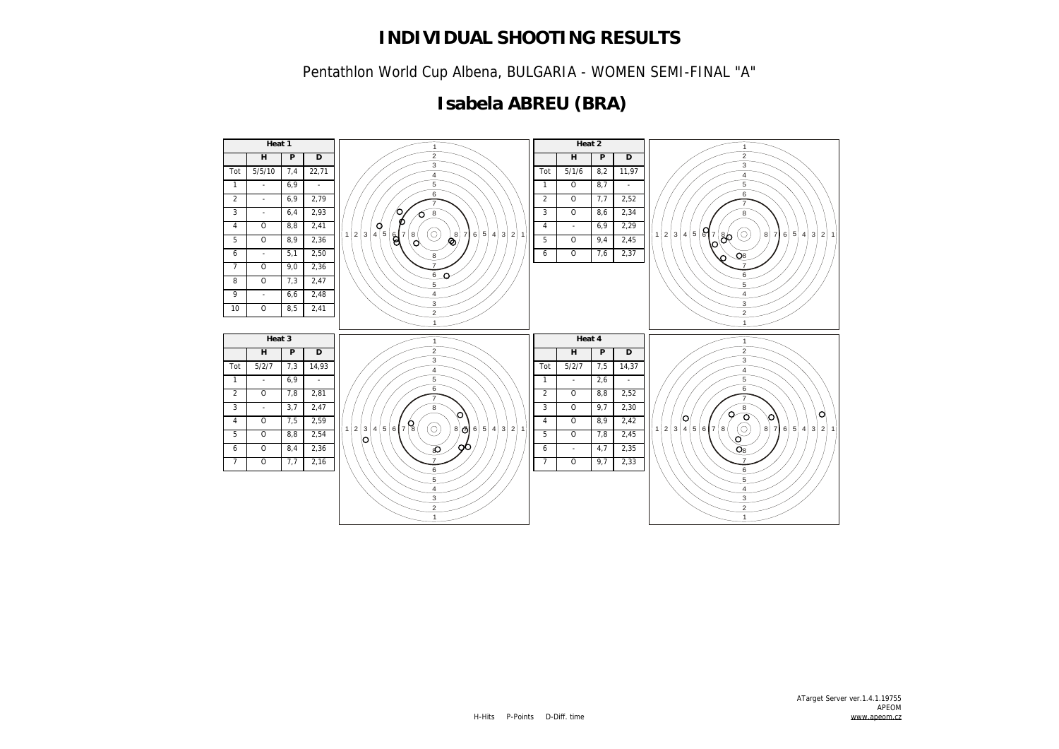Pentathlon World Cup Albena, BULGARIA - WOMEN SEMI-FINAL "A"

## **Isabela ABREU (BRA)**

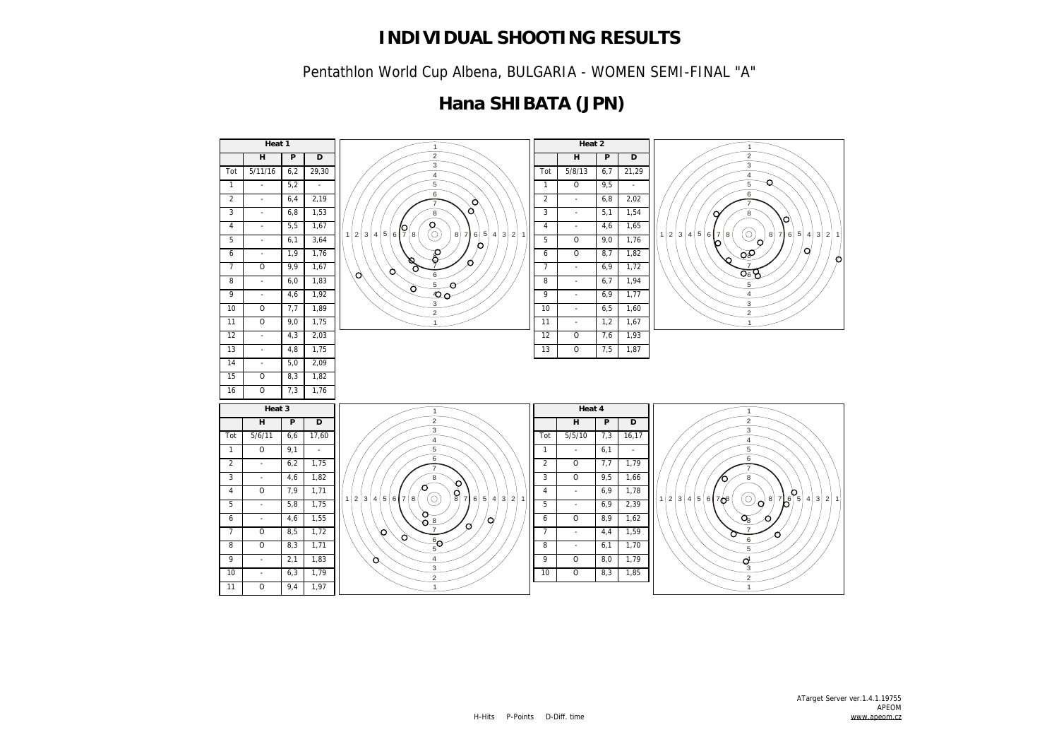Pentathlon World Cup Albena, BULGARIA - WOMEN SEMI-FINAL "A"

## **Hana SHIBATA (JPN)**

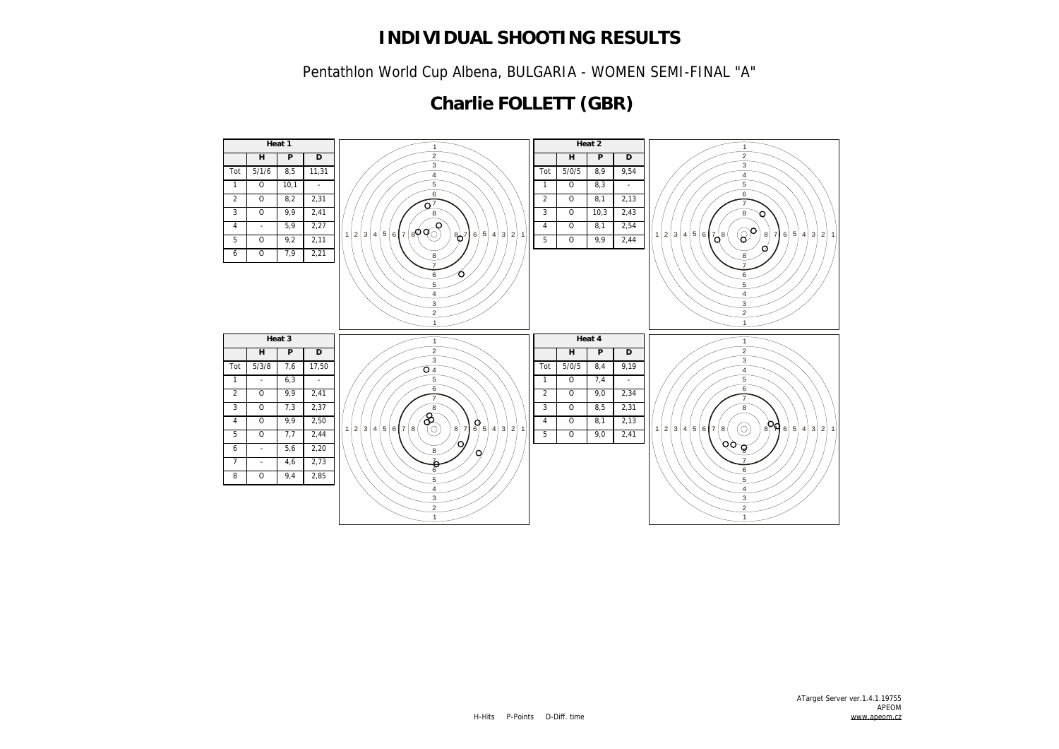Pentathlon World Cup Albena, BULGARIA - WOMEN SEMI-FINAL "A"

# **Charlie FOLLETT (GBR)**

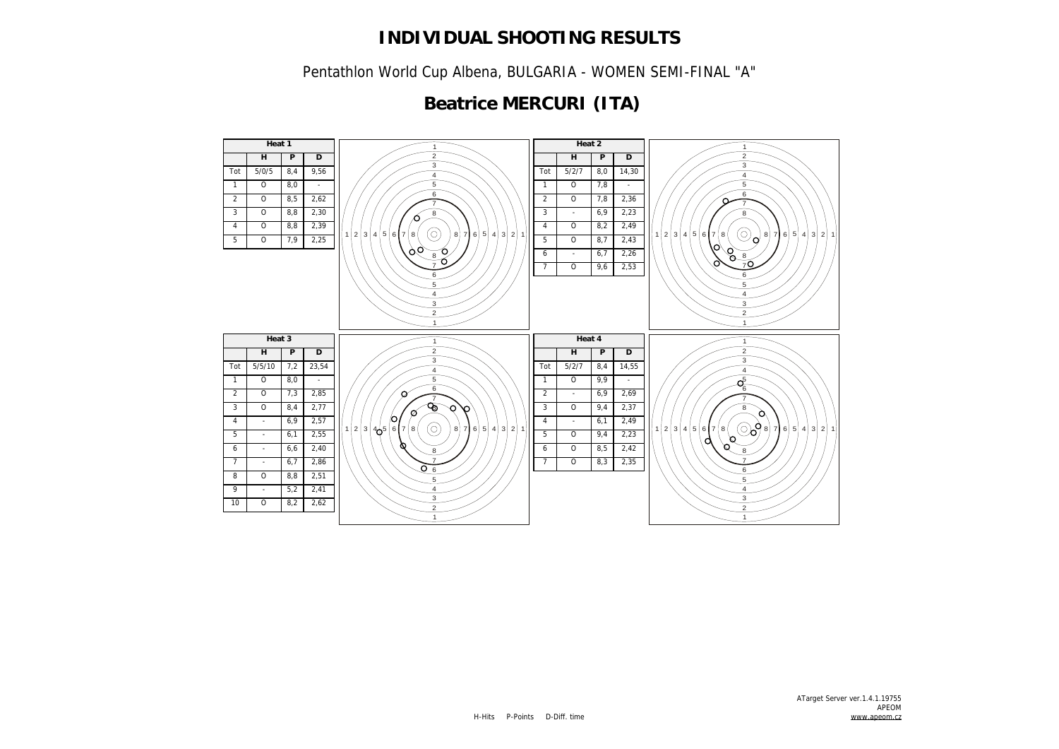Pentathlon World Cup Albena, BULGARIA - WOMEN SEMI-FINAL "A"

## **Beatrice MERCURI (ITA)**

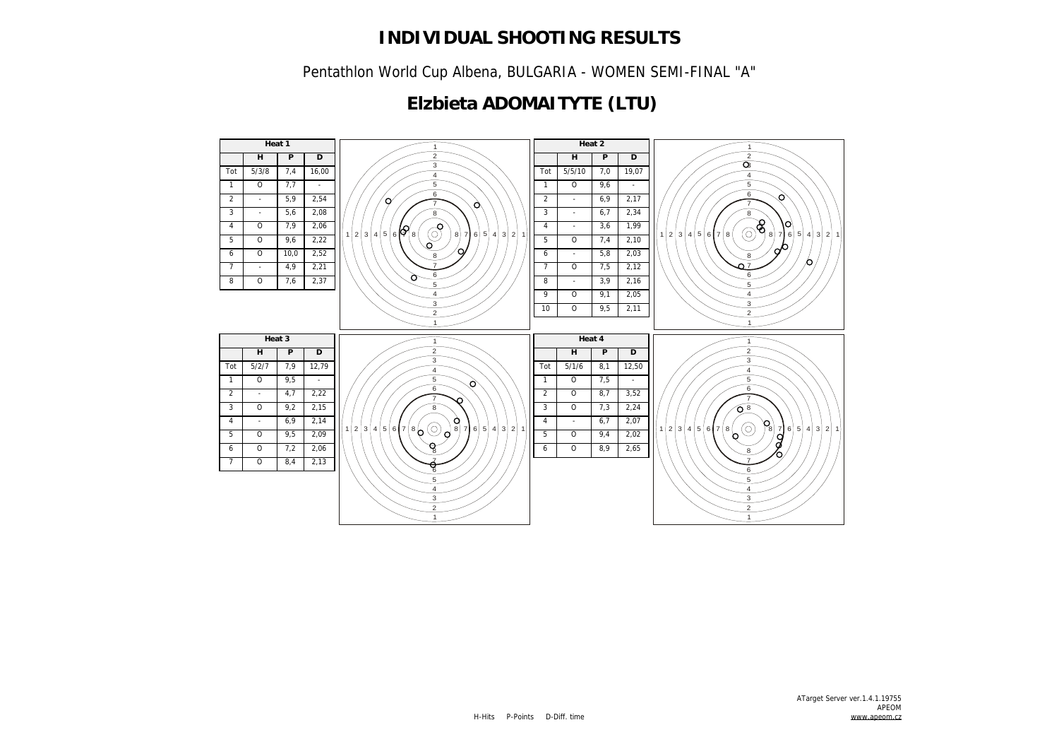Pentathlon World Cup Albena, BULGARIA - WOMEN SEMI-FINAL "A"

## **Elzbieta ADOMAITYTE (LTU)**

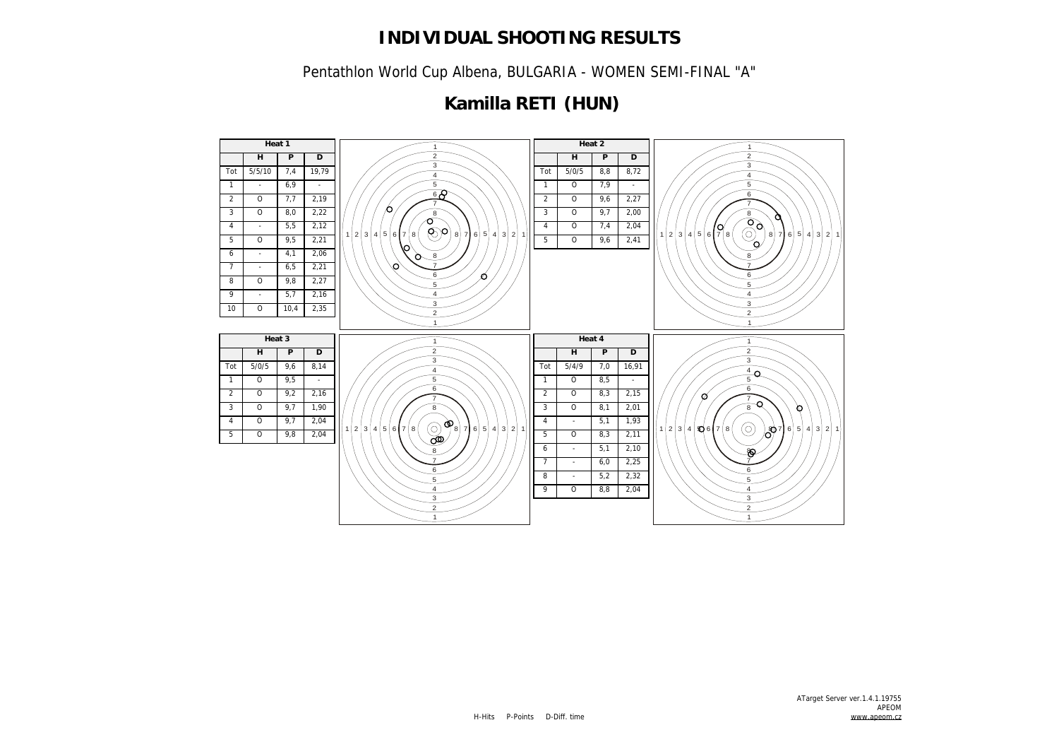Pentathlon World Cup Albena, BULGARIA - WOMEN SEMI-FINAL "A"

## **Kamilla RETI (HUN)**

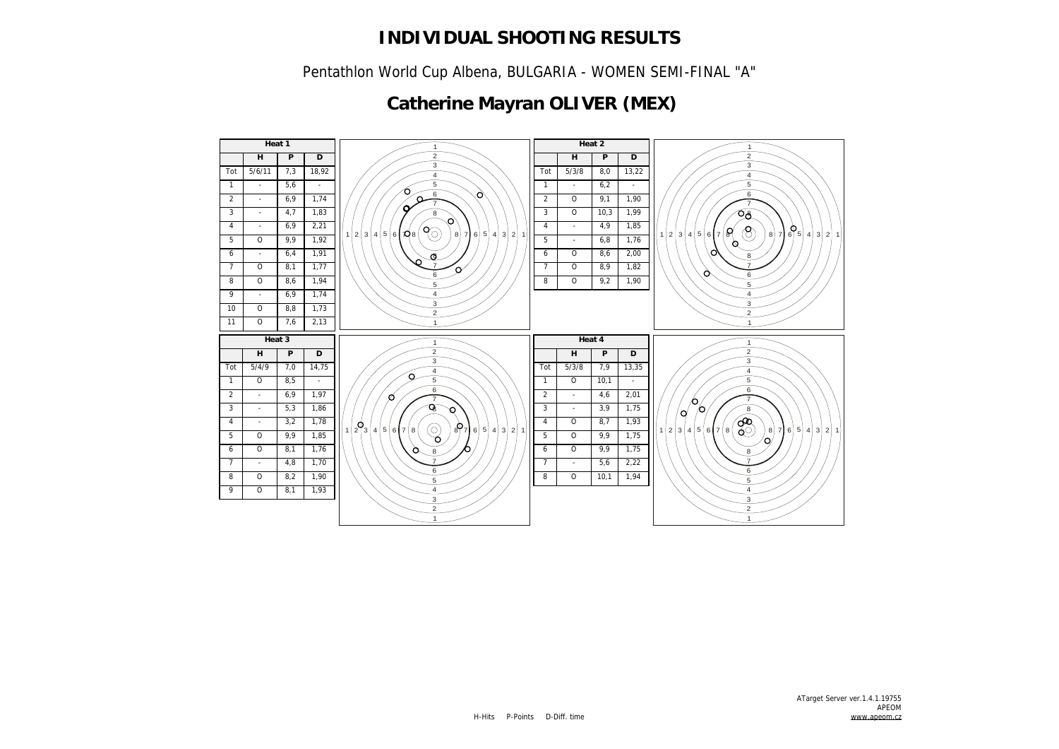Pentathlon World Cup Albena, BULGARIA - WOMEN SEMI-FINAL "A"

## **Catherine Mayran OLIVER (MEX)**

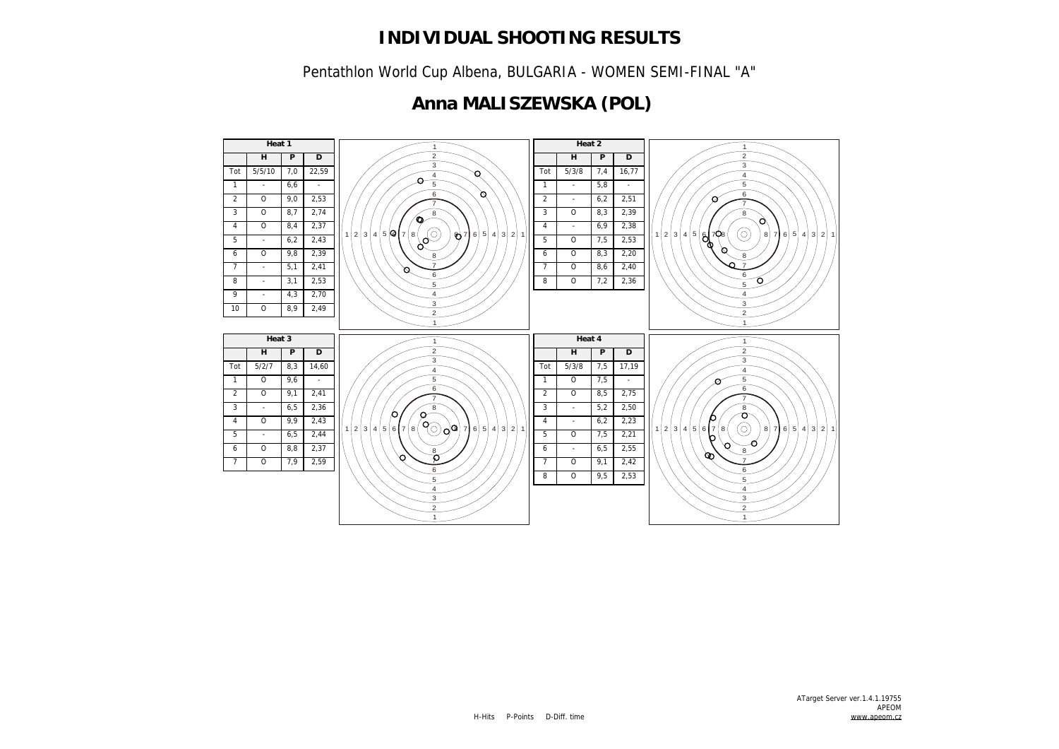Pentathlon World Cup Albena, BULGARIA - WOMEN SEMI-FINAL "A"

## **Anna MALISZEWSKA (POL)**